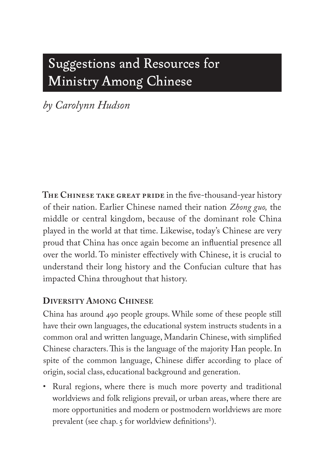# Suggestions and Resources for Ministry Among Chinese

*by Carolynn Hudson*

**The Chinese take great pride** in the five-thousand-year history of their nation. Earlier Chinese named their nation *Zhong guo,* the middle or central kingdom, because of the dominant role China played in the world at that time. Likewise, today's Chinese are very proud that China has once again become an influential presence all over the world. To minister effectively with Chinese, it is crucial to understand their long history and the Confucian culture that has impacted China throughout that history.

## **Diversity Among Chinese**

China has around 490 people groups. While some of these people still have their own languages, the educational system instructs students in a common oral and written language, Mandarin Chinese, with simplified Chinese characters. This is the language of the majority Han people. In spite of the common language, Chinese differ according to place of origin, social class, educational background and generation.

• Rural regions, where there is much more poverty and traditional worldviews and folk religions prevail, or urban areas, where there are more opportunities and modern or postmodern worldviews are more prevalent (see chap. 5 for worldview definitions<sup>1</sup>).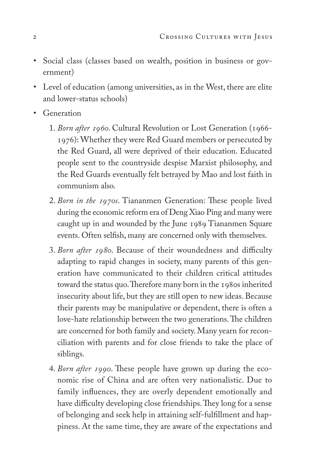- Social class (classes based on wealth, position in business or government)
- Level of education (among universities, as in the West, there are elite and lower-status schools)
- Generation
	- 1. *Born after 1960*. Cultural Revolution or Lost Generation (1966- 1976): Whether they were Red Guard members or persecuted by the Red Guard, all were deprived of their education. Educated people sent to the countryside despise Marxist philosophy, and the Red Guards eventually felt betrayed by Mao and lost faith in communism also.
	- 2. *Born in the 1970s*. Tiananmen Generation: These people lived during the economic reform era of Deng Xiao Ping and many were caught up in and wounded by the June 1989 Tiananmen Square events. Often selfish, many are concerned only with themselves.
	- 3. *Born after 1980*. Because of their woundedness and difficulty adapting to rapid changes in society, many parents of this generation have communicated to their children critical attitudes toward the status quo. Therefore many born in the 1980s inherited insecurity about life, but they are still open to new ideas. Because their parents may be manipulative or dependent, there is often a love-hate relationship between the two generations. The children are concerned for both family and society. Many yearn for reconciliation with parents and for close friends to take the place of siblings.
	- 4. *Born after 1990*. These people have grown up during the economic rise of China and are often very nationalistic. Due to family influences, they are overly dependent emotionally and have difficulty developing close friendships. They long for a sense of belonging and seek help in attaining self-fulfillment and happiness. At the same time, they are aware of the expectations and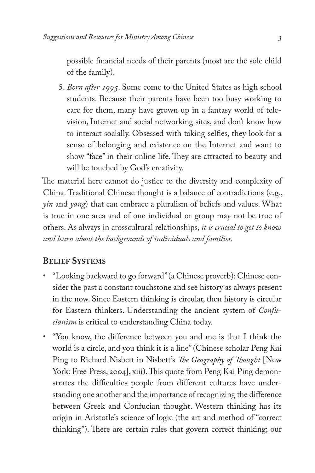possible financial needs of their parents (most are the sole child of the family).

5. *Born after 1995*. Some come to the United States as high school students. Because their parents have been too busy working to care for them, many have grown up in a fantasy world of television, Internet and social networking sites, and don't know how to interact socially. Obsessed with taking selfies, they look for a sense of belonging and existence on the Internet and want to show "face" in their online life. They are attracted to beauty and will be touched by God's creativity.

The material here cannot do justice to the diversity and complexity of China. Traditional Chinese thought is a balance of contradictions (e.g., *yin* and *yang*) that can embrace a pluralism of beliefs and values. What is true in one area and of one individual or group may not be true of others. As always in crosscultural relationships, *it is crucial to get to know and learn about the backgrounds of individuals and families*.

## **Belief Systems**

- "Looking backward to go forward" (a Chinese proverb): Chinese consider the past a constant touchstone and see history as always present in the now. Since Eastern thinking is circular, then history is circular for Eastern thinkers. Understanding the ancient system of *Confucianism* is critical to understanding China today.
- "You know, the difference between you and me is that I think the world is a circle, and you think it is a line"(Chinese scholar Peng Kai Ping to Richard Nisbett in Nisbett's *The Geography of Thought* [New York: Free Press, 2004], xiii). This quote from Peng Kai Ping demonstrates the difficulties people from different cultures have understanding one another and the importance of recognizing the difference between Greek and Confucian thought. Western thinking has its origin in Aristotle's science of logic (the art and method of "correct thinking"). There are certain rules that govern correct thinking; our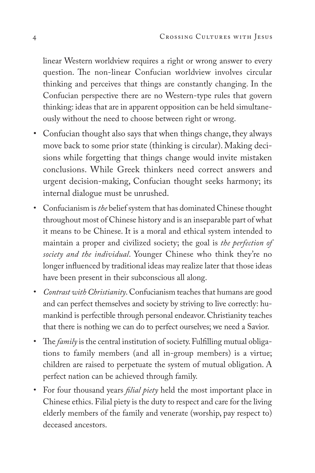linear Western worldview requires a right or wrong answer to every question. The non-linear Confucian worldview involves circular thinking and perceives that things are constantly changing. In the Confucian perspective there are no Western-type rules that govern thinking: ideas that are in apparent opposition can be held simultaneously without the need to choose between right or wrong.

- Confucian thought also says that when things change, they always move back to some prior state (thinking is circular). Making decisions while forgetting that things change would invite mistaken conclusions. While Greek thinkers need correct answers and urgent decision-making, Confucian thought seeks harmony; its internal dialogue must be unrushed.
- Confucianism is *the* belief system that has dominated Chinese thought throughout most of Chinese history and is an inseparable part of what it means to be Chinese. It is a moral and ethical system intended to maintain a proper and civilized society; the goal is *the perfection of society and the individual*. Younger Chinese who think they're no longer influenced by traditional ideas may realize later that those ideas have been present in their subconscious all along.
- *Contrast with Christianity*. Confucianism teaches that humans are good and can perfect themselves and society by striving to live correctly: humankind is perfectible through personal endeavor. Christianity teaches that there is nothing we can do to perfect ourselves; we need a Savior.
- The *family* is the central institution of society. Fulfilling mutual obligations to family members (and all in-group members) is a virtue; children are raised to perpetuate the system of mutual obligation. A perfect nation can be achieved through family.
- For four thousand years *filial piety* held the most important place in Chinese ethics. Filial piety is the duty to respect and care for the living elderly members of the family and venerate (worship, pay respect to) deceased ancestors.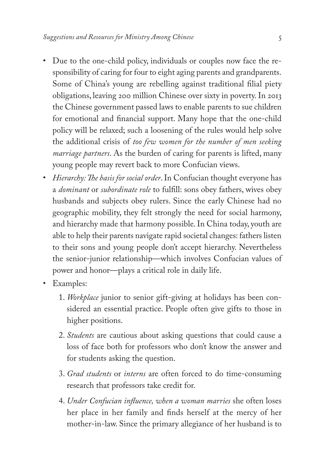- Due to the one-child policy, individuals or couples now face the responsibility of caring for four to eight aging parents and grandparents. Some of China's young are rebelling against traditional filial piety obligations, leaving 200 million Chinese over sixty in poverty. In 2013 the Chinese government passed laws to enable parents to sue children for emotional and financial support. Many hope that the one-child policy will be relaxed; such a loosening of the rules would help solve the additional crisis of *too few women for the number of men seeking marriage partners*. As the burden of caring for parents is lifted, many young people may revert back to more Confucian views.
- *Hierarchy: The basis for social order*. In Confucian thought everyone has a *dominant* or *subordinate role* to fulfill: sons obey fathers, wives obey husbands and subjects obey rulers. Since the early Chinese had no geographic mobility, they felt strongly the need for social harmony, and hierarchy made that harmony possible. In China today, youth are able to help their parents navigate rapid societal changes: fathers listen to their sons and young people don't accept hierarchy. Nevertheless the senior-junior relationship—which involves Confucian values of power and honor—plays a critical role in daily life.
- Examples:
	- 1. *Workplace* junior to senior gift-giving at holidays has been considered an essential practice. People often give gifts to those in higher positions.
	- 2. *Students* are cautious about asking questions that could cause a loss of face both for professors who don't know the answer and for students asking the question.
	- 3. *Grad students* or *interns* are often forced to do time-consuming research that professors take credit for.
	- 4. *Under Confucian influence, when a woman marries* she often loses her place in her family and finds herself at the mercy of her mother-in-law. Since the primary allegiance of her husband is to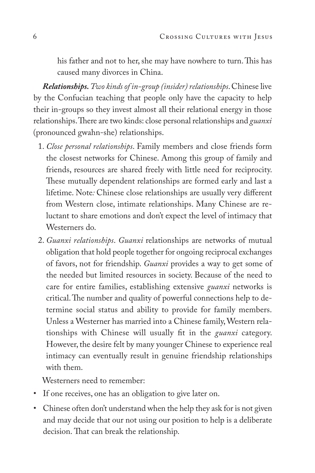his father and not to her, she may have nowhere to turn. This has caused many divorces in China.

*Relationships. Two kinds of in-group (insider) relationships*. Chinese live by the Confucian teaching that people only have the capacity to help their in-groups so they invest almost all their relational energy in those relationships. There are two kinds: close personal relationships and *guanxi*  (pronounced gwahn-she) relationships.

- 1. *Close personal relationships*. Family members and close friends form the closest networks for Chinese. Among this group of family and friends, resources are shared freely with little need for reciprocity. These mutually dependent relationships are formed early and last a lifetime. Note*:* Chinese close relationships are usually very different from Western close, intimate relationships. Many Chinese are reluctant to share emotions and don't expect the level of intimacy that Westerners do.
- 2. *Guanxi relationships*. *Guanxi* relationships are networks of mutual obligation that hold people together for ongoing reciprocal exchanges of favors, not for friendship. *Guanxi* provides a way to get some of the needed but limited resources in society. Because of the need to care for entire families, establishing extensive *guanxi* networks is critical. The number and quality of powerful connections help to determine social status and ability to provide for family members. Unless a Westerner has married into a Chinese family, Western relationships with Chinese will usually fit in the *guanxi* category. However, the desire felt by many younger Chinese to experience real intimacy can eventually result in genuine friendship relationships with them.

Westerners need to remember:

- If one receives, one has an obligation to give later on.
- Chinese often don't understand when the help they ask for is not given and may decide that our not using our position to help is a deliberate decision. That can break the relationship.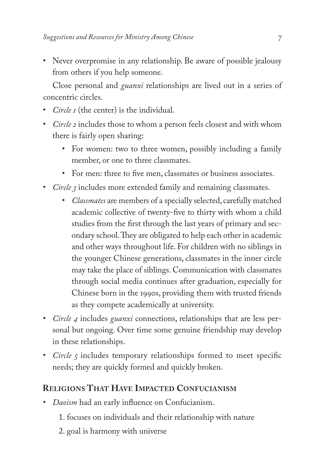• Never overpromise in any relationship. Be aware of possible jealousy from others if you help someone.

Close personal and *guanxi* relationships are lived out in a series of concentric circles.

- *Circle 1* (the center) is the individual.
- *Circle 2* includes those to whom a person feels closest and with whom there is fairly open sharing:
	- For women: two to three women, possibly including a family member, or one to three classmates.
	- For men: three to five men, classmates or business associates.
- *Circle 3* includes more extended family and remaining classmates.
	- *Classmates* are members of a specially selected, carefully matched academic collective of twenty-five to thirty with whom a child studies from the first through the last years of primary and secondary school. They are obligated to help each other in academic and other ways throughout life. For children with no siblings in the younger Chinese generations, classmates in the inner circle may take the place of siblings. Communication with classmates through social media continues after graduation, especially for Chinese born in the 1990s, providing them with trusted friends as they compete academically at university.
- *Circle 4* includes *guanxi* connections, relationships that are less personal but ongoing. Over time some genuine friendship may develop in these relationships.
- *Circle 5* includes temporary relationships formed to meet specific needs; they are quickly formed and quickly broken.

## **Religions That Have Impacted Confucianism**

- *Daoism* had an early influence on Confucianism.
	- 1. focuses on individuals and their relationship with nature
	- 2. goal is harmony with universe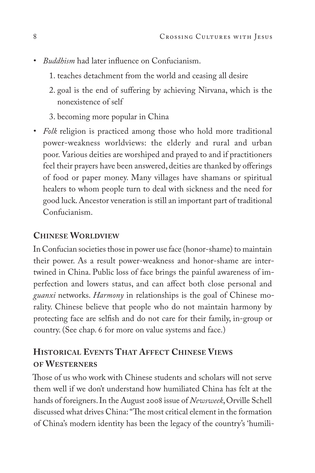- *Buddhism* had later influence on Confucianism.
	- 1. teaches detachment from the world and ceasing all desire
	- 2. goal is the end of suffering by achieving Nirvana, which is the nonexistence of self
	- 3. becoming more popular in China
- *Folk* religion is practiced among those who hold more traditional power-weakness worldviews: the elderly and rural and urban poor. Various deities are worshiped and prayed to and if practitioners feel their prayers have been answered, deities are thanked by offerings of food or paper money. Many villages have shamans or spiritual healers to whom people turn to deal with sickness and the need for good luck. Ancestor veneration is still an important part of traditional Confucianism.

## **Chinese Worldview**

In Confucian societies those in power use face (honor-shame) to maintain their power. As a result power-weakness and honor-shame are intertwined in China. Public loss of face brings the painful awareness of imperfection and lowers status, and can affect both close personal and *guanxi* networks. *Harmony* in relationships is the goal of Chinese morality. Chinese believe that people who do not maintain harmony by protecting face are selfish and do not care for their family, in-group or country. (See chap. 6 for more on value systems and face.)

## **Historical Events That Affect Chinese Views of Westerners**

Those of us who work with Chinese students and scholars will not serve them well if we don't understand how humiliated China has felt at the hands of foreigners. In the August 2008 issue of *Newsweek*, Orville Schell discussed what drives China: "The most critical element in the formation of China's modern identity has been the legacy of the country's 'humili-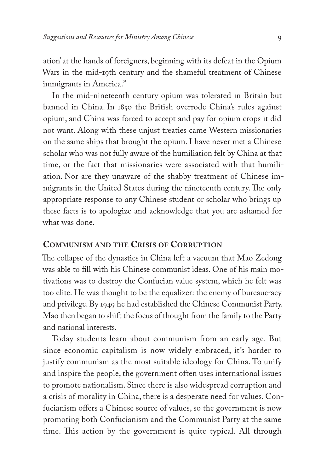ation' at the hands of foreigners, beginning with its defeat in the Opium Wars in the mid-19th century and the shameful treatment of Chinese immigrants in America."

In the mid-nineteenth century opium was tolerated in Britain but banned in China. In 1850 the British overrode China's rules against opium, and China was forced to accept and pay for opium crops it did not want. Along with these unjust treaties came Western missionaries on the same ships that brought the opium. I have never met a Chinese scholar who was not fully aware of the humiliation felt by China at that time, or the fact that missionaries were associated with that humiliation. Nor are they unaware of the shabby treatment of Chinese immigrants in the United States during the nineteenth century. The only appropriate response to any Chinese student or scholar who brings up these facts is to apologize and acknowledge that you are ashamed for what was done.

#### **Communism and the Crisis of Corruption**

The collapse of the dynasties in China left a vacuum that Mao Zedong was able to fill with his Chinese communist ideas. One of his main motivations was to destroy the Confucian value system, which he felt was too elite. He was thought to be the equalizer: the enemy of bureaucracy and privilege. By 1949 he had established the Chinese Communist Party. Mao then began to shift the focus of thought from the family to the Party and national interests.

Today students learn about communism from an early age. But since economic capitalism is now widely embraced, it's harder to justify communism as the most suitable ideology for China. To unify and inspire the people, the government often uses international issues to promote nationalism. Since there is also widespread corruption and a crisis of morality in China, there is a desperate need for values. Confucianism offers a Chinese source of values, so the government is now promoting both Confucianism and the Communist Party at the same time. This action by the government is quite typical. All through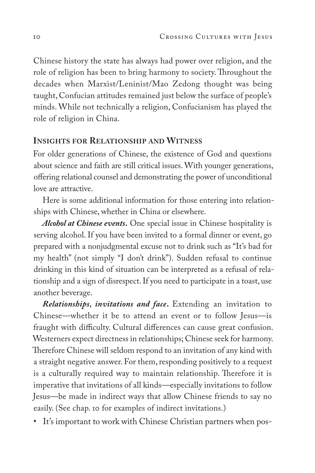Chinese history the state has always had power over religion, and the role of religion has been to bring harmony to society. Throughout the decades when Marxist/Leninist/Mao Zedong thought was being taught, Confucian attitudes remained just below the surface of people's minds. While not technically a religion, Confucianism has played the role of religion in China.

#### **Insights for Relationship and Witness**

For older generations of Chinese, the existence of God and questions about science and faith are still critical issues. With younger generations, offering relational counsel and demonstrating the power of unconditional love are attractive.

Here is some additional information for those entering into relationships with Chinese, whether in China or elsewhere.

*Alcohol at Chinese events***.** One special issue in Chinese hospitality is serving alcohol. If you have been invited to a formal dinner or event, go prepared with a nonjudgmental excuse not to drink such as "It's bad for my health" (not simply "I don't drink"). Sudden refusal to continue drinking in this kind of situation can be interpreted as a refusal of relationship and a sign of disrespect. If you need to participate in a toast, use another beverage.

*Relationships, invitations and face***.** Extending an invitation to Chinese—whether it be to attend an event or to follow Jesus—is fraught with difficulty. Cultural differences can cause great confusion. Westerners expect directness in relationships; Chinese seek for harmony. Therefore Chinese will seldom respond to an invitation of any kind with a straight negative answer. For them, responding positively to a request is a culturally required way to maintain relationship. Therefore it is imperative that invitations of all kinds—especially invitations to follow Jesus—be made in indirect ways that allow Chinese friends to say no easily. (See chap. 10 for examples of indirect invitations.)

• It's important to work with Chinese Christian partners when pos-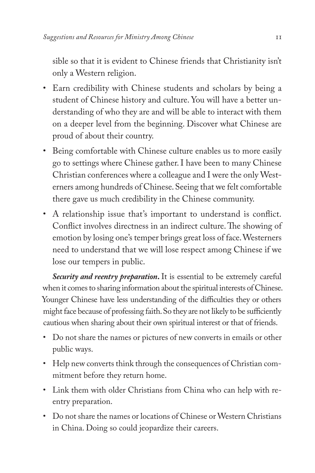sible so that it is evident to Chinese friends that Christianity isn't only a Western religion.

- Earn credibility with Chinese students and scholars by being a student of Chinese history and culture. You will have a better understanding of who they are and will be able to interact with them on a deeper level from the beginning. Discover what Chinese are proud of about their country.
- Being comfortable with Chinese culture enables us to more easily go to settings where Chinese gather. I have been to many Chinese Christian conferences where a colleague and I were the only Westerners among hundreds of Chinese. Seeing that we felt comfortable there gave us much credibility in the Chinese community.
- A relationship issue that's important to understand is conflict. Conflict involves directness in an indirect culture. The showing of emotion by losing one's temper brings great loss of face. Westerners need to understand that we will lose respect among Chinese if we lose our tempers in public.

*Security and reentry preparation***.** It is essential to be extremely careful when it comes to sharing information about the spiritual interests of Chinese. Younger Chinese have less understanding of the difficulties they or others might face because of professing faith. So they are not likely to be sufficiently cautious when sharing about their own spiritual interest or that of friends.

- Do not share the names or pictures of new converts in emails or other public ways.
- Help new converts think through the consequences of Christian commitment before they return home.
- Link them with older Christians from China who can help with reentry preparation.
- Do not share the names or locations of Chinese or Western Christians in China. Doing so could jeopardize their careers.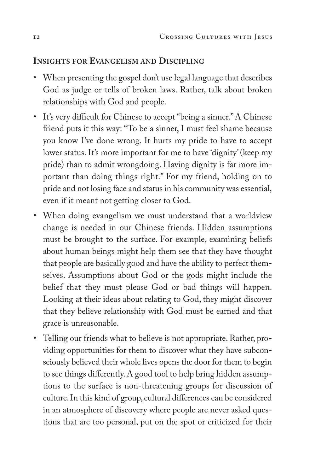### **Insights for Evangelism and Discipling**

- When presenting the gospel don't use legal language that describes God as judge or tells of broken laws. Rather, talk about broken relationships with God and people.
- It's very difficult for Chinese to accept "being a sinner." A Chinese friend puts it this way: "To be a sinner, I must feel shame because you know I've done wrong. It hurts my pride to have to accept lower status. It's more important for me to have 'dignity' (keep my pride) than to admit wrongdoing. Having dignity is far more important than doing things right." For my friend, holding on to pride and not losing face and status in his community was essential, even if it meant not getting closer to God.
- When doing evangelism we must understand that a worldview change is needed in our Chinese friends. Hidden assumptions must be brought to the surface. For example, examining beliefs about human beings might help them see that they have thought that people are basically good and have the ability to perfect themselves. Assumptions about God or the gods might include the belief that they must please God or bad things will happen. Looking at their ideas about relating to God, they might discover that they believe relationship with God must be earned and that grace is unreasonable.
- Telling our friends what to believe is not appropriate. Rather, providing opportunities for them to discover what they have subconsciously believed their whole lives opens the door for them to begin to see things differently. A good tool to help bring hidden assumptions to the surface is non-threatening groups for discussion of culture. In this kind of group, cultural differences can be considered in an atmosphere of discovery where people are never asked questions that are too personal, put on the spot or criticized for their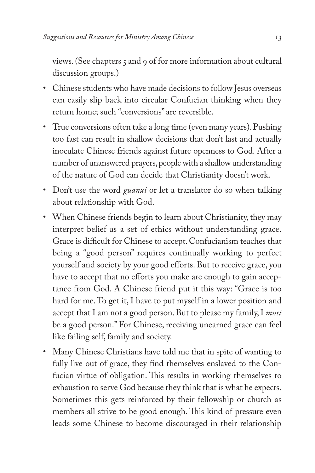views. (See chapters 5 and 9 of for more information about cultural discussion groups.)

- Chinese students who have made decisions to follow Jesus overseas can easily slip back into circular Confucian thinking when they return home; such "conversions" are reversible.
- True conversions often take a long time (even many years). Pushing too fast can result in shallow decisions that don't last and actually inoculate Chinese friends against future openness to God. After a number of unanswered prayers, people with a shallow understanding of the nature of God can decide that Christianity doesn't work.
- Don't use the word *guanxi* or let a translator do so when talking about relationship with God.
- When Chinese friends begin to learn about Christianity, they may interpret belief as a set of ethics without understanding grace. Grace is difficult for Chinese to accept. Confucianism teaches that being a "good person" requires continually working to perfect yourself and society by your good efforts. But to receive grace, you have to accept that no efforts you make are enough to gain acceptance from God. A Chinese friend put it this way: "Grace is too hard for me. To get it, I have to put myself in a lower position and accept that I am not a good person. But to please my family, I *must* be a good person." For Chinese, receiving unearned grace can feel like failing self, family and society.
- Many Chinese Christians have told me that in spite of wanting to fully live out of grace, they find themselves enslaved to the Confucian virtue of obligation. This results in working themselves to exhaustion to serve God because they think that is what he expects. Sometimes this gets reinforced by their fellowship or church as members all strive to be good enough. This kind of pressure even leads some Chinese to become discouraged in their relationship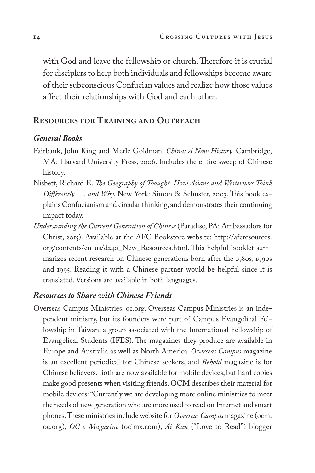with God and leave the fellowship or church. Therefore it is crucial for disciplers to help both individuals and fellowships become aware of their subconscious Confucian values and realize how those values affect their relationships with God and each other.

#### **Resources for Training and Outreach**

#### *General Books*

- Fairbank, John King and Merle Goldman. *China: A New History*. Cambridge, MA: Harvard University Press, 2006. Includes the entire sweep of Chinese history.
- Nisbett, Richard E. *The Geography of Thought: How Asians and Westerners Think Differently . . . and Why*, New York: Simon & Schuster, 2003. This book explains Confucianism and circular thinking, and demonstrates their continuing impact today.
- *Understanding the Current Generation of Chinese* (Paradise, PA: Ambassadors for Christ, 2015). Available at the AFC Bookstore website: http://afcresources. org/contents/en-us/d240\_New\_Resources.html. This helpful booklet summarizes recent research on Chinese generations born after the 1980s, 1990s and 1995. Reading it with a Chinese partner would be helpful since it is translated. Versions are available in both languages.

#### *Resources to Share with Chinese Friends*

Overseas Campus Ministries, oc.org. Overseas Campus Ministries is an independent ministry, but its founders were part of Campus Evangelical Fellowship in Taiwan, a group associated with the International Fellowship of Evangelical Students (IFES). The magazines they produce are available in Europe and Australia as well as North America. *Overseas Campus* magazine is an excellent periodical for Chinese seekers, and *Behold* magazine is for Chinese believers. Both are now available for mobile devices, but hard copies make good presents when visiting friends. OCM describes their material for mobile devices: "Currently we are developing more online ministries to meet the needs of new generation who are more used to read on Internet and smart phones. These ministries include website for *Overseas Campus* magazine (ocm. oc.org), *OC e-Magazine* (ocimx.com), *Ai-Kan* ("Love to Read") blogger